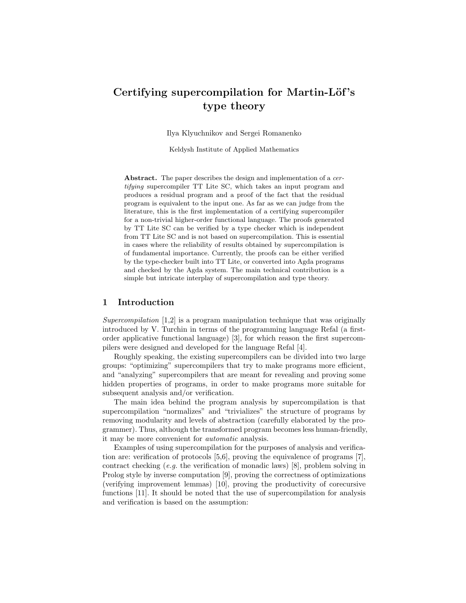# Certifying supercompilation for Martin-Löf's type theory

Ilya Klyuchnikov and Sergei Romanenko

Keldysh Institute of Applied Mathematics

Abstract. The paper describes the design and implementation of a *certifying* supercompiler TT Lite SC, which takes an input program and produces a residual program and a proof of the fact that the residual program is equivalent to the input one. As far as we can judge from the literature, this is the first implementation of a certifying supercompiler for a non-trivial higher-order functional language. The proofs generated by TT Lite SC can be verified by a type checker which is independent from TT Lite SC and is not based on supercompilation. This is essential in cases where the reliability of results obtained by supercompilation is of fundamental importance. Currently, the proofs can be either verified by the type-checker built into TT Lite, or converted into Agda programs and checked by the Agda system. The main technical contribution is a simple but intricate interplay of supercompilation and type theory.

#### 1 Introduction

*Supercompilation* [\[1](#page-13-0)[,2\]](#page-14-0) is a program manipulation technique that was originally introduced by V. Turchin in terms of the programming language Refal (a firstorder applicative functional language) [\[3\]](#page-14-1), for which reason the first supercompilers were designed and developed for the language Refal [\[4\]](#page-14-2).

Roughly speaking, the existing supercompilers can be divided into two large groups: "optimizing" supercompilers that try to make programs more efficient, and "analyzing" supercompilers that are meant for revealing and proving some hidden properties of programs, in order to make programs more suitable for subsequent analysis and/or verification.

The main idea behind the program analysis by supercompilation is that supercompilation "normalizes" and "trivializes" the structure of programs by removing modularity and levels of abstraction (carefully elaborated by the programmer). Thus, although the transformed program becomes less human-friendly, it may be more convenient for *automatic* analysis.

Examples of using supercompilation for the purposes of analysis and verification are: verification of protocols [\[5,](#page-14-3)[6\]](#page-14-4), proving the equivalence of programs [\[7\]](#page-14-5), contract checking (*e.g.* the verification of monadic laws) [\[8\]](#page-14-6), problem solving in Prolog style by inverse computation [\[9\]](#page-14-7), proving the correctness of optimizations (verifying improvement lemmas) [\[10\]](#page-14-8), proving the productivity of corecursive functions [\[11\]](#page-14-9). It should be noted that the use of supercompilation for analysis and verification is based on the assumption: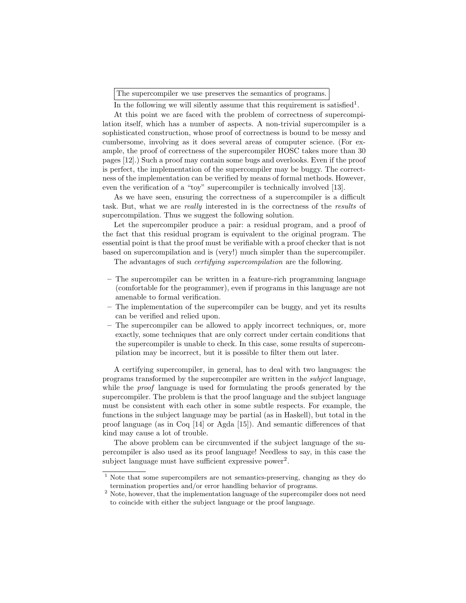The supercompiler we use preserves the semantics of programs.

In the following we will silently assume that this requirement is satisfied<sup>[1](#page-1-0)</sup>.

At this point we are faced with the problem of correctness of supercompilation itself, which has a number of aspects. A non-trivial supercompiler is a sophisticated construction, whose proof of correctness is bound to be messy and cumbersome, involving as it does several areas of computer science. (For example, the proof of correctness of the supercompiler HOSC takes more than 30 pages [\[12\]](#page-14-10).) Such a proof may contain some bugs and overlooks. Even if the proof is perfect, the implementation of the supercompiler may be buggy. The correctness of the implementation can be verified by means of formal methods. However, even the verification of a "toy" supercompiler is technically involved [\[13\]](#page-14-11).

As we have seen, ensuring the correctness of a supercompiler is a difficult task. But, what we are *really* interested in is the correctness of the *results* of supercompilation. Thus we suggest the following solution.

Let the supercompiler produce a pair: a residual program, and a proof of the fact that this residual program is equivalent to the original program. The essential point is that the proof must be verifiable with a proof checker that is not based on supercompilation and is (very!) much simpler than the supercompiler.

The advantages of such *certifying supercompilation* are the following.

- The supercompiler can be written in a feature-rich programming language (comfortable for the programmer), even if programs in this language are not amenable to formal verification.
- The implementation of the supercompiler can be buggy, and yet its results can be verified and relied upon.
- The supercompiler can be allowed to apply incorrect techniques, or, more exactly, some techniques that are only correct under certain conditions that the supercompiler is unable to check. In this case, some results of supercompilation may be incorrect, but it is possible to filter them out later.

A certifying supercompiler, in general, has to deal with two languages: the programs transformed by the supercompiler are written in the *subject* language, while the *proof* language is used for formulating the proofs generated by the supercompiler. The problem is that the proof language and the subject language must be consistent with each other in some subtle respects. For example, the functions in the subject language may be partial (as in Haskell), but total in the proof language (as in Coq  $[14]$  or Agda  $[15]$ ). And semantic differences of that kind may cause a lot of trouble.

The above problem can be circumvented if the subject language of the supercompiler is also used as its proof language! Needless to say, in this case the subject language must have sufficient expressive power<sup>[2](#page-1-1)</sup>.

<span id="page-1-0"></span><sup>&</sup>lt;sup>1</sup> Note that some supercompilers are not semantics-preserving, changing as they do termination properties and/or error handling behavior of programs.

<span id="page-1-1"></span> $2$  Note, however, that the implementation language of the supercompiler does not need to coincide with either the subject language or the proof language.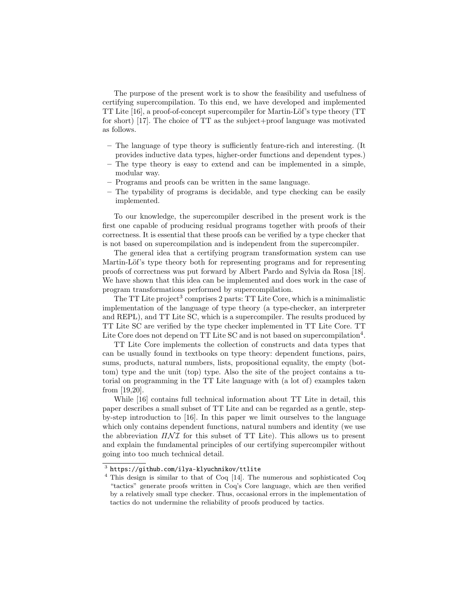The purpose of the present work is to show the feasibility and usefulness of certifying supercompilation. To this end, we have developed and implemented TT Lite [\[16\]](#page-14-14), a proof-of-concept supercompiler for Martin-Löf's type theory (TT) for short) [\[17\]](#page-14-15). The choice of TT as the subject+proof language was motivated as follows.

- $-$  The language of type theory is sufficiently feature-rich and interesting. (It provides inductive data types, higher-order functions and dependent types.)
- The type theory is easy to extend and can be implemented in a simple, modular way.
- Programs and proofs can be written in the same language.
- The typability of programs is decidable, and type checking can be easily implemented.

To our knowledge, the supercompiler described in the present work is the first one capable of producing residual programs together with proofs of their correctness. It is essential that these proofs can be verified by a type checker that is not based on supercompilation and is independent from the supercompiler.

The general idea that a certifying program transformation system can use Martin-Löf's type theory both for representing programs and for representing proofs of correctness was put forward by Albert Pardo and Sylvia da Rosa [\[18\]](#page-14-16). We have shown that this idea can be implemented and does work in the case of program transformations performed by supercompilation.

The TT Lite project<sup>[3](#page-2-0)</sup> comprises 2 parts: TT Lite Core, which is a minimalistic implementation of the language of type theory (a type-checker, an interpreter and REPL), and TT Lite SC, which is a supercompiler. The results produced by TT Lite SC are verified by the type checker implemented in TT Lite Core. TT Lite Core does not depend on TT Lite SC and is not based on supercompilation<sup>[4](#page-2-1)</sup>.

TT Lite Core implements the collection of constructs and data types that can be usually found in textbooks on type theory: dependent functions, pairs, sums, products, natural numbers, lists, propositional equality, the empty (bottom) type and the unit (top) type. Also the site of the project contains a tutorial on programming in the TT Lite language with (a lot of) examples taken from [\[19,](#page-14-17)[20\]](#page-14-18).

While [\[16\]](#page-14-14) contains full technical information about TT Lite in detail, this paper describes a small subset of TT Lite and can be regarded as a gentle, stepby-step introduction to [\[16\]](#page-14-14). In this paper we limit ourselves to the language which only contains dependent functions, natural numbers and identity (we use the abbreviation  $\overline{H}\mathcal{N}\mathcal{I}$  for this subset of TT Lite). This allows us to present and explain the fundamental principles of our certifying supercompiler without going into too much technical detail.

<span id="page-2-0"></span><sup>3</sup> <https://github.com/ilya-klyuchnikov/ttlite>

<span id="page-2-1"></span><sup>4</sup> This design is similar to that of Coq [\[14\]](#page-14-19). The numerous and sophisticated Coq "tactics" generate proofs written in Coq's Core language, which are then verified by a relatively small type checker. Thus, occasional errors in the implementation of tactics do not undermine the reliability of proofs produced by tactics.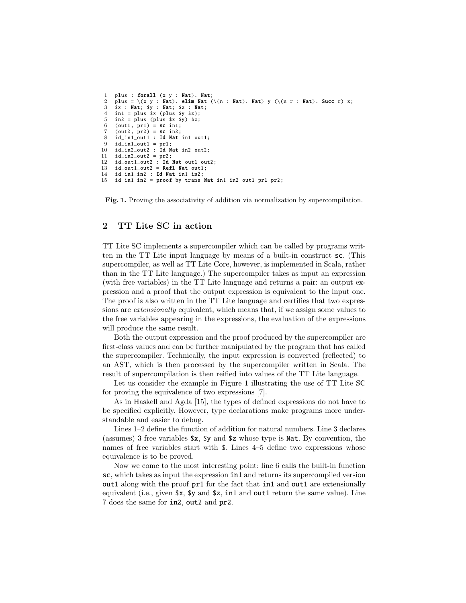```
1 plus : forall (x y : Nat). Nat;
 2 plus = \x \cdot x : Nat). elim Nat (\n \cdot x \cdot x). Nat) y (\n \cdot x \cdot x). Succ r) x;
 3 $x : Nat; $y : Nat; $z : Nat;
 4 in1 = plus x (plus y z);
 5 in2 = plus (plus x \sin y) z;
 6 (out1, pr1) = sc in1;<br>7 (out2, pr2) = sc in2:
7 (out2, pr2) = sc in2;<br>8 id in1 out1 : Id Nat
8 id_in1_out1 : Id Nat in1 out1;<br>9 id in1 out1 = pr1:
9 id_in1_out1 = pr1;<br>10 id_in2_out2 : Id N
    id_in2_out2 : Id Nat in2 out2;
11 id_in2_out2 = pr2;
12 id_out1_out2 : Id Nat out1 out2;
13 id out1 out2 = Ref1 Nat out1:
14 id_in1_in2 : Id Nat in1 in2;
15 id_in1_in2 = proof_by_trans Nat in1 in2 out1 pr1 pr2;
```
<span id="page-3-0"></span>Fig. 1. Proving the associativity of addition via normalization by supercompilation.

#### 2 TT Lite SC in action

TT Lite SC implements a supercompiler which can be called by programs written in the TT Lite input language by means of a built-in construct sc. (This supercompiler, as well as TT Lite Core, however, is implemented in Scala, rather than in the TT Lite language.) The supercompiler takes as input an expression (with free variables) in the TT Lite language and returns a pair: an output expression and a proof that the output expression is equivalent to the input one. The proof is also written in the TT Lite language and certifies that two expressions are *extensionally* equivalent, which means that, if we assign some values to the free variables appearing in the expressions, the evaluation of the expressions will produce the same result.

Both the output expression and the proof produced by the supercompiler are first-class values and can be further manipulated by the program that has called the supercompiler. Technically, the input expression is converted (reflected) to an AST, which is then processed by the supercompiler written in Scala. The result of supercompilation is then reified into values of the TT Lite language.

Let us consider the example in Figure [1](#page-3-0) illustrating the use of TT Lite SC for proving the equivalence of two expressions [\[7\]](#page-14-20).

As in Haskell and Agda [\[15\]](#page-14-13), the types of defined expressions do not have to be specified explicitly. However, type declarations make programs more understandable and easier to debug.

Lines 1–2 define the function of addition for natural numbers. Line 3 declares (assumes) 3 free variables \$x, \$y and \$z whose type is Nat. By convention, the names of free variables start with \$. Lines 4–5 define two expressions whose equivalence is to be proved.

Now we come to the most interesting point: line 6 calls the built-in function sc, which takes as input the expression in1 and returns its supercompiled version out1 along with the proof pr1 for the fact that in1 and out1 are extensionally equivalent (i.e., given  $x, \ y$  and  $z, \text{in1}$  and out t return the same value). Line 7 does the same for in2, out2 and pr2.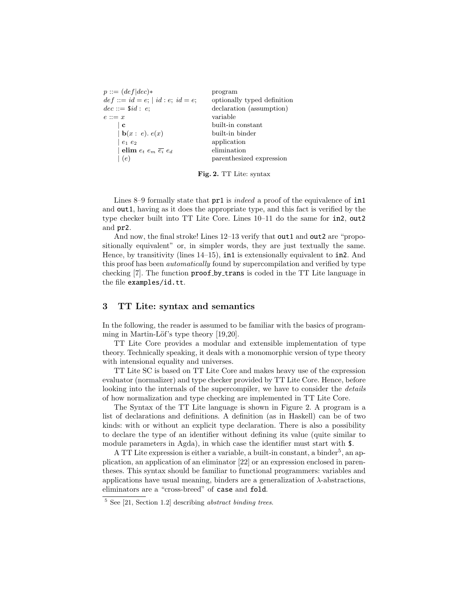```
p ::= (def|dec)* program<br>
def ::= id = e: |id : e: id = e: optionally typed definition
def ::= id = e; | id : e; id = e;<br>
dec ::= $id : e:declaration (assumption)e ::= x variable
        \begin{array}{ccc} \n| \mathbf{c} & \text{built-in constant} \\ \n| \mathbf{b}(x \cdot e) & e(x) & \text{built-in hinder} \n\end{array}| \mathbf{b}(x : e) \cdot e(x) |<br>| e_1 e_2 || e1 e2 application
        |\textbf{elim } e_t \textbf{ } e_m \textbf{ } \overline{e_i} \textbf{ } e_d<br>|\textbf{ } (e)| (e) parenthesized expression
```
<span id="page-4-0"></span>Fig. 2. TT Lite: syntax

Lines 8–9 formally state that pr1 is *indeed* a proof of the equivalence of in1 and out1, having as it does the appropriate type, and this fact is verified by the type checker built into TT Lite Core. Lines 10–11 do the same for in2, out2 and pr2.

And now, the final stroke! Lines 12–13 verify that **out1** and **out2** are "propositionally equivalent" or, in simpler words, they are just textually the same. Hence, by transitivity (lines 14–15), in1 is extensionally equivalent to in2. And this proof has been *automatically* found by supercompilation and verified by type checking [\[7\]](#page-14-5). The function proof by trans is coded in the TT Lite language in the file examples/id.tt.

## 3 TT Lite: syntax and semantics

In the following, the reader is assumed to be familiar with the basics of programming in Martin-Löf's type theory  $[19,20]$  $[19,20]$ .

TT Lite Core provides a modular and extensible implementation of type theory. Technically speaking, it deals with a monomorphic version of type theory with intensional equality and universes.

TT Lite SC is based on TT Lite Core and makes heavy use of the expression evaluator (normalizer) and type checker provided by TT Lite Core. Hence, before looking into the internals of the supercompiler, we have to consider the *details* of how normalization and type checking are implemented in TT Lite Core.

The Syntax of the TT Lite language is shown in Figure [2.](#page-4-0) A program is a list of declarations and definitions. A definition (as in Haskell) can be of two kinds: with or without an explicit type declaration. There is also a possibility to declare the type of an identifier without defining its value (quite similar to module parameters in Agda), in which case the identifier must start with \$.

A TT Lite expression is either a variable, a built-in constant, a binder<sup>[5](#page-4-1)</sup>, an application, an application of an eliminator [\[22\]](#page-14-21) or an expression enclosed in parentheses. This syntax should be familiar to functional programmers: variables and applications have usual meaning, binders are a generalization of  $\lambda$ -abstractions, eliminators are a "cross-breed" of case and fold.

<span id="page-4-1"></span><sup>5</sup> See [\[21,](#page-14-22) Section 1.2] describing *abstract binding trees*.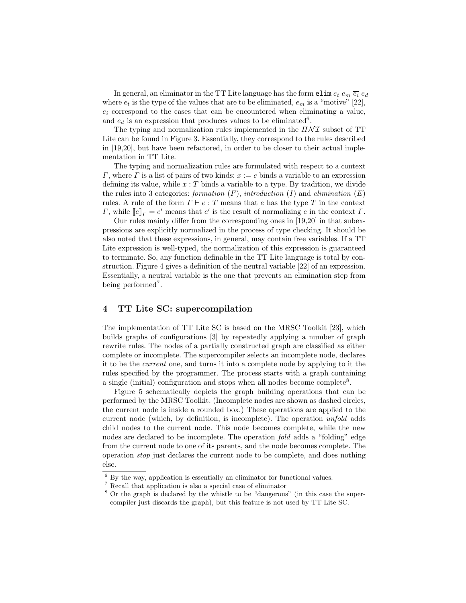In general, an eliminator in the TT Lite language has the form  $\text{elim } e_t \, e_m \, \overline{e_i} \, e_d$ where  $e_t$  is the type of the values that are to be eliminated,  $e_m$  is a "motive" [\[22\]](#page-14-23),  $e_i$  correspond to the cases that can be encountered when eliminating a value, and  $e_d$  is an expression that produces values to be eliminated<sup>[6](#page-5-0)</sup>.

The typing and normalization rules implemented in the  $\eta \mathcal{N} \mathcal{I}$  subset of TT Lite can be found in Figure [3.](#page-6-0) Essentially, they correspond to the rules described in [\[19](#page-14-24)[,20\]](#page-14-25), but have been refactored, in order to be closer to their actual implementation in TT Lite.

The typing and normalization rules are formulated with respect to a context  $\Gamma$ , where  $\Gamma$  is a list of pairs of two kinds:  $x := e$  binds a variable to an expression defining its value, while *x* : *T* binds a variable to a type. By tradition, we divide the rules into 3 categories: *formation*  $(F)$ , *introduction*  $(I)$  and *elimination*  $(E)$ rules. A rule of the form  $\Gamma \vdash e : T$  means that *e* has the type *T* in the context  $\Gamma$ , while  $\llbracket e \rrbracket_F = e'$  means that  $e'$  is the result of normalizing  $e$  in the context  $\Gamma$ .

Our rules mainly differ from the corresponding ones in  $[19,20]$  $[19,20]$  in that subexpressions are explicitly normalized in the process of type checking. It should be also noted that these expressions, in general, may contain free variables. If a TT Lite expression is well-typed, the normalization of this expression is guaranteed to terminate. So, any function definable in the TT Lite language is total by construction. Figure [4](#page-6-1) gives a definition of the neutral variable [\[22\]](#page-14-23) of an expression. Essentially, a neutral variable is the one that prevents an elimination step from being performed<sup>[7](#page-5-1)</sup>.

## 4 TT Lite SC: supercompilation

The implementation of TT Lite SC is based on the MRSC Toolkit [\[23\]](#page-14-26), which builds graphs of configurations [\[3\]](#page-14-27) by repeatedly applying a number of graph rewrite rules. The nodes of a partially constructed graph are classified as either complete or incomplete. The supercompiler selects an incomplete node, declares it to be the *current* one, and turns it into a complete node by applying to it the rules specified by the programmer. The process starts with a graph containing a single (initial) configuration and stops when all nodes become complete<sup>[8](#page-5-2)</sup>.

Figure [5](#page-7-0) schematically depicts the graph building operations that can be performed by the MRSC Toolkit. (Incomplete nodes are shown as dashed circles, the current node is inside a rounded box.) These operations are applied to the current node (which, by definition, is incomplete). The operation *unfold* adds child nodes to the current node. This node becomes complete, while the new nodes are declared to be incomplete. The operation *fold* adds a "folding" edge from the current node to one of its parents, and the node becomes complete. The operation *stop* just declares the current node to be complete, and does nothing else.

<span id="page-5-0"></span> $6$  By the way, application is essentially an eliminator for functional values.

<span id="page-5-1"></span><sup>7</sup> Recall that application is also a special case of eliminator

<span id="page-5-2"></span><sup>8</sup> Or the graph is declared by the whistle to be "dangerous" (in this case the supercompiler just discards the graph), but this feature is not used by TT Lite SC.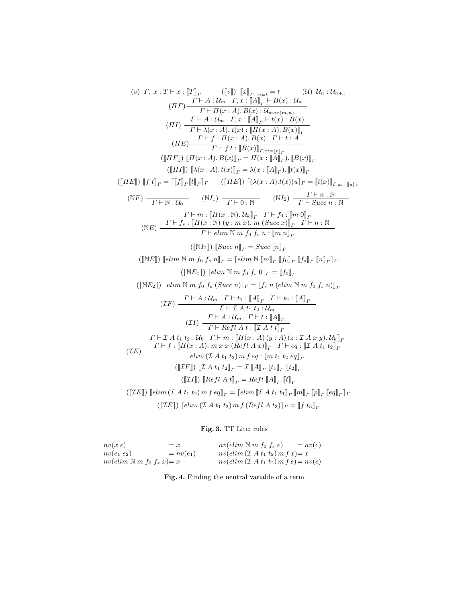(*v*) *, x* : *T* ` *x* : [[*T*]] ([[*v*]]) [[*x*]]*, x*:=*<sup>t</sup>* = *t* (*U*) *U<sup>n</sup>* : *Un*+1 (⇧*F*) ` *A* : *U<sup>m</sup> , x* : [[*A*]] ` *B*(*x*) : *U<sup>n</sup>* ` ⇧(*x* : *A*)*. B*(*x*) : *Umax*(*m,n*) (⇧*I*) ` *A* : *U<sup>m</sup> , x* : [[*A*]] ` *t*(*x*) : *B*(*x*) ` (*x* : *A*)*. t*(*x*) : [[⇧(*x* : *A*)*. B*(*x*)]] (⇧*E*) ` *<sup>f</sup>* : ⇧(*<sup>x</sup>* : *<sup>A</sup>*)*. B*(*x*) ` *<sup>t</sup>* : *<sup>A</sup>* ` *f t* : [[*B*(*x*)]]*,x*:=[[*t*]] ([[⇧*F*]]) [[⇧(*x* : *A*)*. B*(*x*)]] = ⇧(*x* : [[*A*]] )*.* [[*B*(*x*)]] ([[⇧*I*]]) [[(*x* : *A*)*. t*(*x*)]] = (*x* : [[*A*]] )*.* [[*t*(*x*)]] ([[⇧*E*]]) [[*f t*]] = d[[*f*]] [[*t*]] e (d⇧*E*e) d((*x* : *A*)*.t*(*x*))*u*e = [[*t*(*x*)]]*,x*:=[[*u*]] (N*F*) ` <sup>N</sup> : *<sup>U</sup>*<sup>0</sup> (N*I*1) ` 0 : <sup>N</sup> (N*I*2) ` *<sup>n</sup>* : <sup>N</sup> ` *Succ n* : N (N*E*) ` *m* : [[⇧(*x* : N)*. Uk*]] ` *f*<sup>0</sup> : [[*m* 0]] ` *f<sup>s</sup>* : [[⇧(*x* : N) (*y* : *m x*)*. m* (*Succ x*)]] ` *n* : N ` *elim* N *m f*<sup>0</sup> *f<sup>s</sup> n* : [[*m n*]] ([[N*I*2]]) [[*Succ n*]] = *Succ* [[*n*]] ([[N*E*]]) [[*elim* N *m f*<sup>0</sup> *f<sup>s</sup> n*]] = d*elim* N [[*m*]] [[*f*0]] [[*fs*]] [[*n*]] e (dN*E*1e) d*elim* N *m f*<sup>0</sup> *f<sup>s</sup>* 0e = [[*f*0]] (dN*E*2e) d*elim* N *m f*<sup>0</sup> *f<sup>s</sup>* (*Succ n*)e = [[*f<sup>s</sup> n* (*elim* N *m f*<sup>0</sup> *f<sup>s</sup> n*)]] (*IF*) ` *A* : *U<sup>m</sup>* ` *t*<sup>1</sup> : [[*A*]] ` *t*<sup>2</sup> : [[*A*]] ` *I A t*<sup>1</sup> *t*<sup>2</sup> : *U<sup>m</sup>* (*II*) ` *A* : *U<sup>m</sup>* ` *t* : [[*A*]] ` *Ref l A t* : [[*I Att*]] (*IE*) ` *I A t*<sup>1</sup> *t*<sup>2</sup> : *U<sup>k</sup>* ` *m* : [[⇧(*x* : *A*) (*y* : *A*) (*z* : *I Axy*)*. Uk*]] ` *f* : [[⇧(*x* : *A*)*.mxx* (*Ref l A x*)]] ` *eq* : [[*I A t*<sup>1</sup> *t*2]] *elim* (*I A t*<sup>1</sup> *t*2) *m f eq* : [[*m t*<sup>1</sup> *t*<sup>2</sup> *eq*]] ([[*IF*]]) [[*I A t*<sup>1</sup> *t*2]] = *I* [[*A*]] [[*t*1]] [[*t*2]] ([[*II*]]) [[*Ref l A t*]] = *Ref l* [[*A*]] [[*t*]] ([[*IE*]]) [[*elim* (*I A t*<sup>1</sup> *t*2) *m f eq*]] = d*elim* [[*I A t*<sup>1</sup> *t*1]] [[*m*]] [[*p*]] [[*eq*]] e (d*IE*e) d*elim* (*I A t*<sup>1</sup> *t*2) *m f* (*Ref l A t*3)e = [[*f t*3]]

#### <span id="page-6-0"></span>Fig. 3. TT Lite: rules

 $nv(x e)$  = *x*  $nv(\text{elim } \mathbb{N} \text{ m } f_0 \text{ } f_s \text{ } e)$  =  $nv(e)$  $nv(e_1 e_2)$  =  $nv(e_1)$   $nv(elim (\mathcal{I} A t_1 t_2) m f x) = x$  $nv(\text{elim } N \text{ m } f_0 \text{ } f_s \text{ } x) = x$   $nv(\text{elim } (I \text{ } A \text{ } t_1 \text{ } t_2) \text{ } m \text{ } f \text{ } e) = nv(e)$ 

<span id="page-6-1"></span>Fig. 4. Finding the neutral variable of a term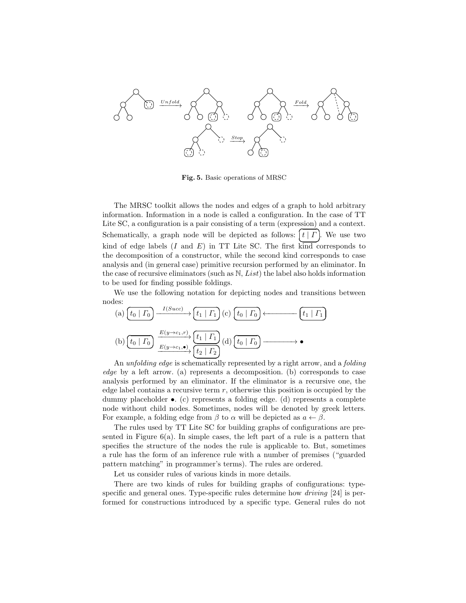

<span id="page-7-0"></span>Fig. 5. Basic operations of MRSC

The MRSC toolkit allows the nodes and edges of a graph to hold arbitrary information. Information in a node is called a configuration. In the case of TT Lite SC, a configuration is a pair consisting of a term (expression) and a context. Schematically, a graph node will be depicted as follows:  $\tilde{\epsilon}$ kind of edge labels  $(I \text{ and } E)$  in TT Lite SC. The first kind corresponds to  $\tilde{\ }$  $t \mid \Gamma$ . We use two the decomposition of a constructor, while the second kind corresponds to case analysis and (in general case) primitive recursion performed by an eliminator. In the case of recursive eliminators (such as N, *List*) the label also holds information to be used for finding possible foldings.

We use the following notation for depicting nodes and transitions between nodes:  $\mathbf{r}$ 

(a) 
$$
\overline{(t_0 | T_0)} \xrightarrow{I(Succ)} \overline{(t_1 | T_1)} (c) \overline{(t_0 | T_0)} \xleftarrow{E_1 | T_1}
$$
  
\n(b)  $\overline{(t_0 | T_0)} \xrightarrow{E(y \to c_1, r)} \overline{(t_1 | T_1)} (d) \overline{(t_0 | T_0)} \xrightarrow{E(y \to c_1, \bullet)} \overline{(t_2 | T_2)} (d) \overline{(t_0 | T_0)} \xrightarrow{}$ 

An *unfolding edge* is schematically represented by a right arrow, and a *folding edge* by a left arrow. (a) represents a decomposition. (b) corresponds to case analysis performed by an eliminator. If the eliminator is a recursive one, the edge label contains a recursive term  $r$ , otherwise this position is occupied by the dummy placeholder *•*. (c) represents a folding edge. (d) represents a complete node without child nodes. Sometimes, nodes will be denoted by greek letters. For example, a folding edge from  $\beta$  to  $\alpha$  will be depicted as  $a \leftarrow \beta$ .

The rules used by TT Lite SC for building graphs of configurations are presented in Figure  $6(a)$ . In simple cases, the left part of a rule is a pattern that specifies the structure of the nodes the rule is applicable to. But, sometimes a rule has the form of an inference rule with a number of premises ("guarded pattern matching" in programmer's terms). The rules are ordered.

Let us consider rules of various kinds in more details.

There are two kinds of rules for building graphs of configurations: typespecific and general ones. Type-specific rules determine how *driving* [\[24\]](#page-14-28) is performed for constructions introduced by a specific type. General rules do not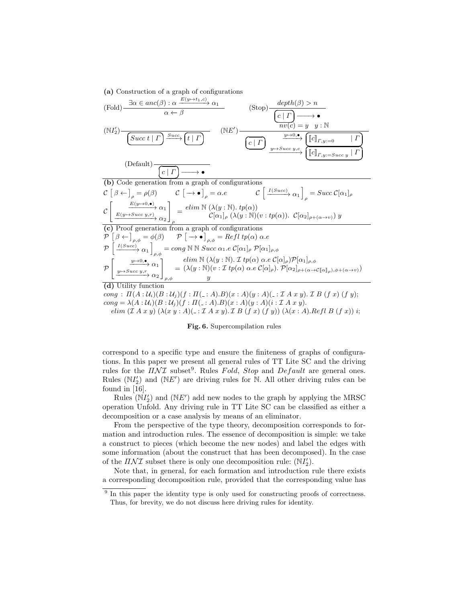

(d) Utility function

cong:  $\Pi(A:\mathcal{U}_i)(B:\mathcal{U}_j)(f:\Pi(\underline{\ } : A).B)(x:A)(y:A)(\underline{\ } : A.x,y). \underline{\mathcal{I}} B(fx)(fy);$  $cong \lambda(A : \mathcal{U}_i)(B : \mathcal{U}_j)(f : \Pi(\_ : A).B)(x : A)(y : A)(i : \mathcal{I} A x y).$ *elim*  $(I A x y) (\lambda (x y : A)(-.I A x y).I B (f x) (f y)) (\lambda (x : A).Refl B (f x)) i;$ 

<span id="page-8-2"></span><span id="page-8-0"></span>Fig. 6. Supercompilation rules

correspond to a specific type and ensure the finiteness of graphs of configurations. In this paper we present all general rules of TT Lite SC and the driving rules for the  $\overline{I} \mathcal{N} \mathcal{I}$  subset<sup>[9](#page-8-1)</sup>. Rules *Fold*, *Stop* and *Default* are general ones. Rules  $(NI_2')$  and  $(NE')$  are driving rules for N. All other driving rules can be found in [\[16\]](#page-14-14).

Rules  $(NI_2')$  and  $(NE')$  add new nodes to the graph by applying the MRSC operation Unfold. Any driving rule in TT Lite SC can be classified as either a decomposition or a case analysis by means of an eliminator.

From the perspective of the type theory, decomposition corresponds to formation and introduction rules. The essence of decomposition is simple: we take a construct to pieces (which become the new nodes) and label the edges with some information (about the construct that has been decomposed). In the case of the  $\overline{H}\mathcal{N}\mathcal{I}$  subset there is only one decomposition rule:  $(\mathbb{N}I_2')$ .

Note that, in general, for each formation and introduction rule there exists a corresponding decomposition rule, provided that the corresponding value has

<span id="page-8-1"></span><sup>&</sup>lt;sup>9</sup> In this paper the identity type is only used for constructing proofs of correctness. Thus, for brevity, we do not discuss here driving rules for identity.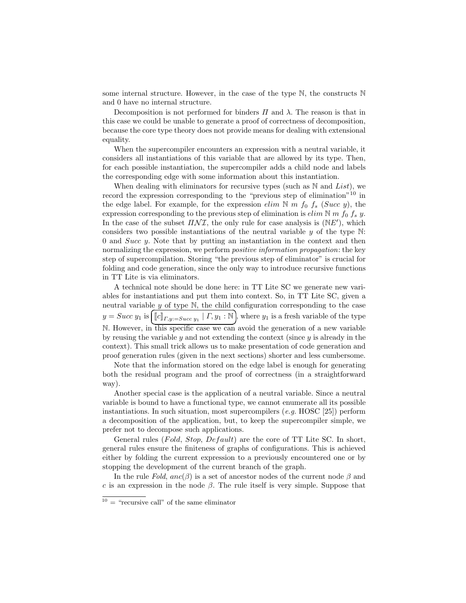some internal structure. However, in the case of the type N, the constructs N and 0 have no internal structure.

Decomposition is not performed for binders  $\Pi$  and  $\lambda$ . The reason is that in this case we could be unable to generate a proof of correctness of decomposition, because the core type theory does not provide means for dealing with extensional equality.

When the supercompiler encounters an expression with a neutral variable, it considers all instantiations of this variable that are allowed by its type. Then, for each possible instantiation, the supercompiler adds a child node and labels the corresponding edge with some information about this instantiation.

When dealing with eliminators for recursive types (such as N and *List*), we record the expression corresponding to the "previous step of elimination"<sup>[10](#page-9-0)</sup> in the edge label. For example, for the expression  $elim\ \mathbb{N}\ m\ f_0\ f_s$  (*Succ y*), the expression corresponding to the previous step of elimination is  $elim \otimes m$  *f*<sub>0</sub> *f*<sub>*s*</sub> *y*. In the case of the subset  $\Pi \mathcal{N} \mathcal{I}$ , the only rule for case analysis is  $(NE')$ , which considers two possible instantiations of the neutral variable  $y$  of the type  $\mathbb N$ : 0 and *Succ y*. Note that by putting an instantiation in the context and then normalizing the expression, we perform *positive information propagation*: the key step of supercompilation. Storing "the previous step of eliminator" is crucial for folding and code generation, since the only way to introduce recursive functions in TT Lite is via eliminators.

A technical note should be done here: in TT Lite SC we generate new variables for instantiations and put them into context. So, in TT Lite SC, given a neutral variable  $y$  of type  $\mathbb N$ , the child configuration corresponding to the case  $y = Succ y_1$  is  $\left(\begin{array}{ccc} \pi & \pi \\ \end{array}\right)$ N. However, in this specific case we can avoid the generation of a new variable  $\llbracket c \rrbracket_{\Gamma, y:=Succ\ y_1} \mid \Gamma, y_1 : \mathbb{N}$ , where  $y_1$  is a fresh variable of the type by reusing the variable *y* and not extending the context (since *y* is already in the context). This small trick allows us to make presentation of code generation and proof generation rules (given in the next sections) shorter and less cumbersome.

Note that the information stored on the edge label is enough for generating both the residual program and the proof of correctness (in a straightforward way).

Another special case is the application of a neutral variable. Since a neutral variable is bound to have a functional type, we cannot enumerate all its possible instantiations. In such situation, most supercompilers (*e.g.* HOSC [\[25\]](#page-14-29)) perform a decomposition of the application, but, to keep the supercompiler simple, we prefer not to decompose such applications.

General rules (*F old*, *Stop*, *Def ault*) are the core of TT Lite SC. In short, general rules ensure the finiteness of graphs of configurations. This is achieved either by folding the current expression to a previously encountered one or by stopping the development of the current branch of the graph.

In the rule *Fold*,  $anc(\beta)$  is a set of ancestor nodes of the current node  $\beta$  and *c* is an expression in the node  $\beta$ . The rule itself is very simple. Suppose that

<span id="page-9-0"></span> $\overline{10}$  = "recursive call" of the same eliminator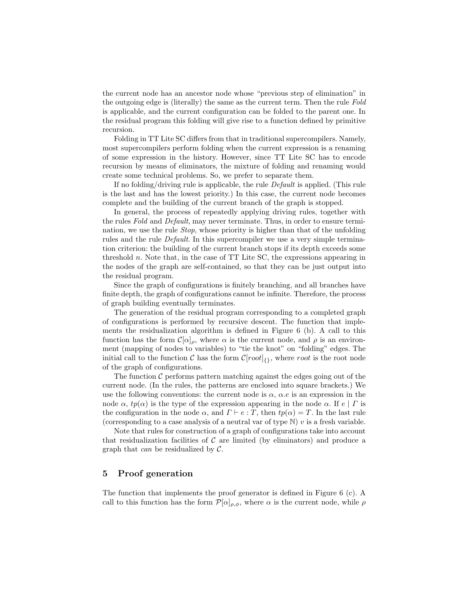the current node has an ancestor node whose "previous step of elimination" in the outgoing edge is (literally) the same as the current term. Then the rule *Fold* is applicable, and the current configuration can be folded to the parent one. In the residual program this folding will give rise to a function defined by primitive recursion.

Folding in TT Lite SC differs from that in traditional supercompilers. Namely, most supercompilers perform folding when the current expression is a renaming of some expression in the history. However, since TT Lite SC has to encode recursion by means of eliminators, the mixture of folding and renaming would create some technical problems. So, we prefer to separate them.

If no folding/driving rule is applicable, the rule *Default* is applied. (This rule is the last and has the lowest priority.) In this case, the current node becomes complete and the building of the current branch of the graph is stopped.

In general, the process of repeatedly applying driving rules, together with the rules *Fold* and *Default*, may never terminate. Thus, in order to ensure termination, we use the rule *Stop*, whose priority is higher than that of the unfolding rules and the rule *Default*. In this supercompiler we use a very simple termination criterion: the building of the current branch stops if its depth exceeds some threshold *n*. Note that, in the case of TT Lite SC, the expressions appearing in the nodes of the graph are self-contained, so that they can be just output into the residual program.

Since the graph of configurations is finitely branching, and all branches have finite depth, the graph of configurations cannot be infinite. Therefore, the process of graph building eventually terminates.

The generation of the residual program corresponding to a completed graph of configurations is performed by recursive descent. The function that implements the residualization algorithm is defined in Figure [6](#page-8-2) (b). A call to this function has the form  $C[\alpha]_{\rho}$ , where  $\alpha$  is the current node, and  $\rho$  is an environment (mapping of nodes to variables) to "tie the knot" on "folding" edges. The initial call to the function *C* has the form  $C[root]$ <sup>{}</sup>, where *root* is the root node of the graph of configurations.

The function  $C$  performs pattern matching against the edges going out of the current node. (In the rules, the patterns are enclosed into square brackets.) We use the following conventions: the current node is  $\alpha$ ,  $\alpha$ *.e* is an expression in the node  $\alpha$ ,  $tp(\alpha)$  is the type of the expression appearing in the node  $\alpha$ . If  $e \mid \Gamma$  is the configuration in the node  $\alpha$ , and  $\Gamma \vdash e : T$ , then  $tp(\alpha) = T$ . In the last rule (corresponding to a case analysis of a neutral var of type  $\mathbb N$ ) *v* is a fresh variable.

Note that rules for construction of a graph of configurations take into account that residualization facilities of  $C$  are limited (by eliminators) and produce a graph that *can* be residualized by *C*.

### 5 Proof generation

The function that implements the proof generator is defined in Figure [6](#page-8-2) (c). A call to this function has the form  $\mathcal{P}[\alpha]_{\rho,\phi}$ , where  $\alpha$  is the current node, while  $\rho$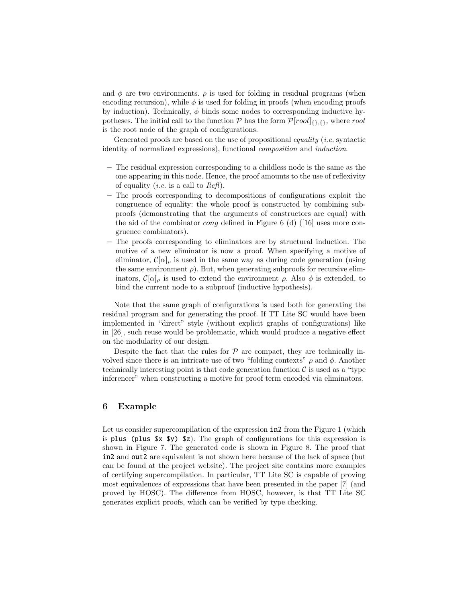and  $\phi$  are two environments.  $\rho$  is used for folding in residual programs (when encoding recursion), while  $\phi$  is used for folding in proofs (when encoding proofs by induction). Technically,  $\phi$  binds some nodes to corresponding inductive hypotheses. The initial call to the function  $P$  has the form  $P[root]_{\{1,\{1\}}}\$ , where *root* is the root node of the graph of configurations.

Generated proofs are based on the use of propositional *equality* (*i.e.* syntactic identity of normalized expressions), functional *composition* and *induction*.

- The residual expression corresponding to a childless node is the same as the one appearing in this node. Hence, the proof amounts to the use of reflexivity of equality (*i.e.* is a call to *Refl*).
- The proofs corresponding to decompositions of configurations exploit the congruence of equality: the whole proof is constructed by combining subproofs (demonstrating that the arguments of constructors are equal) with the aid of the combinator *cong* defined in Figure [6](#page-8-0) (d) ([\[16\]](#page-14-30) uses more congruence combinators).
- The proofs corresponding to eliminators are by structural induction. The motive of a new eliminator is now a proof. When specifying a motive of eliminator,  $\mathcal{C}[\alpha]_{\alpha}$  is used in the same way as during code generation (using the same environment  $\rho$ ). But, when generating subproofs for recursive eliminators,  $\mathcal{C}[\alpha]_{\alpha}$  is used to extend the environment  $\rho$ . Also  $\phi$  is extended, to bind the current node to a subproof (inductive hypothesis).

Note that the same graph of configurations is used both for generating the residual program and for generating the proof. If TT Lite SC would have been implemented in "direct" style (without explicit graphs of configurations) like in  $[26]$ , such reuse would be problematic, which would produce a negative effect on the modularity of our design.

Despite the fact that the rules for  $P$  are compact, they are technically involved since there is an intricate use of two "folding contexts"  $\rho$  and  $\phi$ . Another technically interesting point is that code generation function  $\mathcal C$  is used as a "type inferencer" when constructing a motive for proof term encoded via eliminators.

#### 6 Example

Let us consider supercompilation of the expression  $\texttt{in2}$  from the Figure [1](#page-3-0) (which is plus (plus \$x \$y) \$z). The graph of configurations for this expression is shown in Figure [7.](#page-12-0) The generated code is shown in Figure [8.](#page-12-1) The proof that in2 and out2 are equivalent is not shown here because of the lack of space (but can be found at the project website). The project site contains more examples of certifying supercompilation. In particular, TT Lite SC is capable of proving most equivalences of expressions that have been presented in the paper [\[7\]](#page-14-20) (and proved by HOSC). The difference from HOSC, however, is that TT Lite SC generates explicit proofs, which can be verified by type checking.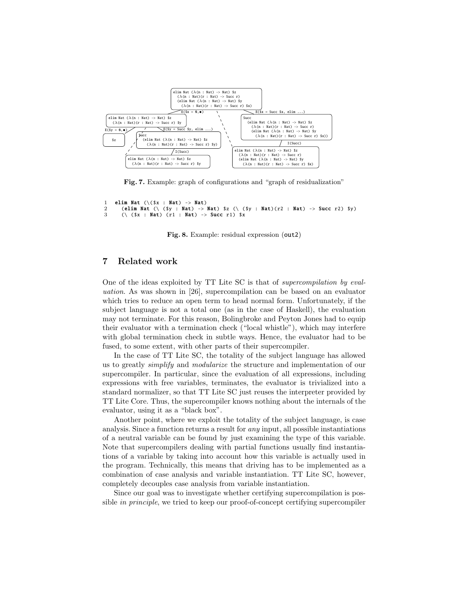

<span id="page-12-0"></span>Fig. 7. Example: graph of configurations and "graph of residualization"

```
1 elim Nat (\xi x : Nat) \rightarrow Nat)2 (elim Nat (\{ \text{sy : Nat} \rightarrow \text{Nat} \text{sz } (\{ \text{sy : Nat} \}) \rightarrow \text{Sat} \text{sz } \text{av} \text{cs } \text{at}) -> Succ r2) $y)
         (\{ \$x : Nat) (r1 : Nat) \rightarrow Succ r1)$x
```
<span id="page-12-1"></span>Fig. 8. Example: residual expression (out2)

#### 7 Related work

One of the ideas exploited by TT Lite SC is that of *supercompilation by evaluation*. As was shown in [\[26\]](#page-14-32), supercompilation can be based on an evaluator which tries to reduce an open term to head normal form. Unfortunately, if the subject language is not a total one (as in the case of Haskell), the evaluation may not terminate. For this reason, Bolingbroke and Peyton Jones had to equip their evaluator with a termination check ("local whistle"), which may interfere with global termination check in subtle ways. Hence, the evaluator had to be fused, to some extent, with other parts of their supercompiler.

In the case of TT Lite SC, the totality of the subject language has allowed us to greatly *simplify* and *modularize* the structure and implementation of our supercompiler. In particular, since the evaluation of all expressions, including expressions with free variables, terminates, the evaluator is trivialized into a standard normalizer, so that TT Lite SC just reuses the interpreter provided by TT Lite Core. Thus, the supercompiler knows nothing about the internals of the evaluator, using it as a "black box".

Another point, where we exploit the totality of the subject language, is case analysis. Since a function returns a result for *any* input, all possible instantiations of a neutral variable can be found by just examining the type of this variable. Note that supercompilers dealing with partial functions usually find instantiations of a variable by taking into account how this variable is actually used in the program. Technically, this means that driving has to be implemented as a combination of case analysis and variable instantiation. TT Lite SC, however, completely decouples case analysis from variable instantiation.

Since our goal was to investigate whether certifying supercompilation is possible *in principle*, we tried to keep our proof-of-concept certifying supercompiler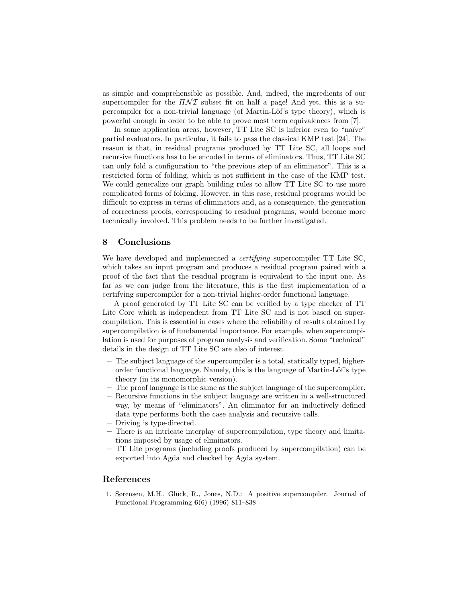as simple and comprehensible as possible. And, indeed, the ingredients of our supercompiler for the  $\overline{I}N\overline{I}$  subset fit on half a page! And yet, this is a supercompiler for a non-trivial language (of Martin-Löf's type theory), which is powerful enough in order to be able to prove most term equivalences from [\[7\]](#page-14-20).

In some application areas, however, TT Lite SC is inferior even to "naïve" partial evaluators. In particular, it fails to pass the classical KMP test [\[24\]](#page-14-28). The reason is that, in residual programs produced by TT Lite SC, all loops and recursive functions has to be encoded in terms of eliminators. Thus, TT Lite SC can only fold a configuration to "the previous step of an eliminator". This is a restricted form of folding, which is not sufficient in the case of the KMP test. We could generalize our graph building rules to allow TT Lite SC to use more complicated forms of folding. However, in this case, residual programs would be difficult to express in terms of eliminators and, as a consequence, the generation of correctness proofs, corresponding to residual programs, would become more technically involved. This problem needs to be further investigated.

### 8 Conclusions

We have developed and implemented a *certifying* supercompiler TT Lite SC, which takes an input program and produces a residual program paired with a proof of the fact that the residual program is equivalent to the input one. As far as we can judge from the literature, this is the first implementation of a certifying supercompiler for a non-trivial higher-order functional language.

A proof generated by TT Lite SC can be verified by a type checker of TT Lite Core which is independent from TT Lite SC and is not based on supercompilation. This is essential in cases where the reliability of results obtained by supercompilation is of fundamental importance. For example, when supercompilation is used for purposes of program analysis and verification. Some "technical" details in the design of TT Lite SC are also of interest.

- The subject language of the supercompiler is a total, statically typed, higherorder functional language. Namely, this is the language of Martin-Löf's type theory (in its monomorphic version).
- The proof language is the same as the subject language of the supercompiler.
- Recursive functions in the subject language are written in a well-structured way, by means of "eliminators". An eliminator for an inductively defined data type performs both the case analysis and recursive calls.
- Driving is type-directed.
- There is an intricate interplay of supercompilation, type theory and limitations imposed by usage of eliminators.
- TT Lite programs (including proofs produced by supercompilation) can be exported into Agda and checked by Agda system.

#### References

<span id="page-13-0"></span>1. Sørensen, M.H., Glück, R., Jones, N.D.: A positive supercompiler. Journal of Functional Programming 6(6) (1996) 811–838